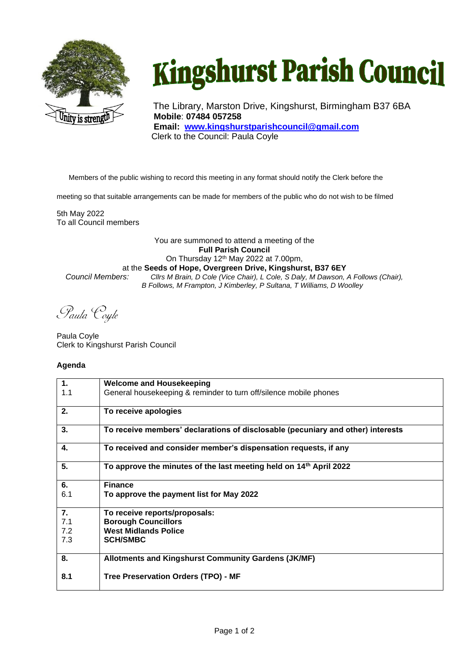

## **Kingshurst Parish Council**

The Library, Marston Drive, Kingshurst, Birmingham B37 6BA **Mobile**: **07484 057258 Email: [www.kingshurstparishcouncil@gmail.com](http://www.kingshurstparishcouncil@gmail.com) Clerk to the Council: Paula Coyle** 

Members of the public wishing to record this meeting in any format should notify the Clerk before the

meeting so that suitable arrangements can be made for members of the public who do not wish to be filmed

5th May 2022 To all Council members

## You are summoned to attend a meeting of the **Full Parish Council** On Thursday 12<sup>th</sup> May 2022 at 7.00pm, at the **Seeds of Hope, Overgreen Drive, Kingshurst, B37 6EY**

*Council Members: Cllrs M Brain, D Cole (Vice Chair), L Cole, S Daly, M Dawson, A Follows (Chair), B Follows, M Frampton, J Kimberley, P Sultana, T Williams, D Woolley*

Paula Coyle

Paula Coyle Clerk to Kingshurst Parish Council

## **Agenda**

| 1.  | <b>Welcome and Housekeeping</b>                                                 |
|-----|---------------------------------------------------------------------------------|
| 1.1 | General housekeeping & reminder to turn off/silence mobile phones               |
| 2.  | To receive apologies                                                            |
| 3.  | To receive members' declarations of disclosable (pecuniary and other) interests |
| 4.  | To received and consider member's dispensation requests, if any                 |
| 5.  | To approve the minutes of the last meeting held on 14 <sup>th</sup> April 2022  |
| 6.  | <b>Finance</b>                                                                  |
| 6.1 | To approve the payment list for May 2022                                        |
| 7.  | To receive reports/proposals:                                                   |
| 7.1 | <b>Borough Councillors</b>                                                      |
| 7.2 | <b>West Midlands Police</b>                                                     |
| 7.3 | <b>SCH/SMBC</b>                                                                 |
| 8.  | Allotments and Kingshurst Community Gardens (JK/MF)                             |
| 8.1 | Tree Preservation Orders (TPO) - MF                                             |